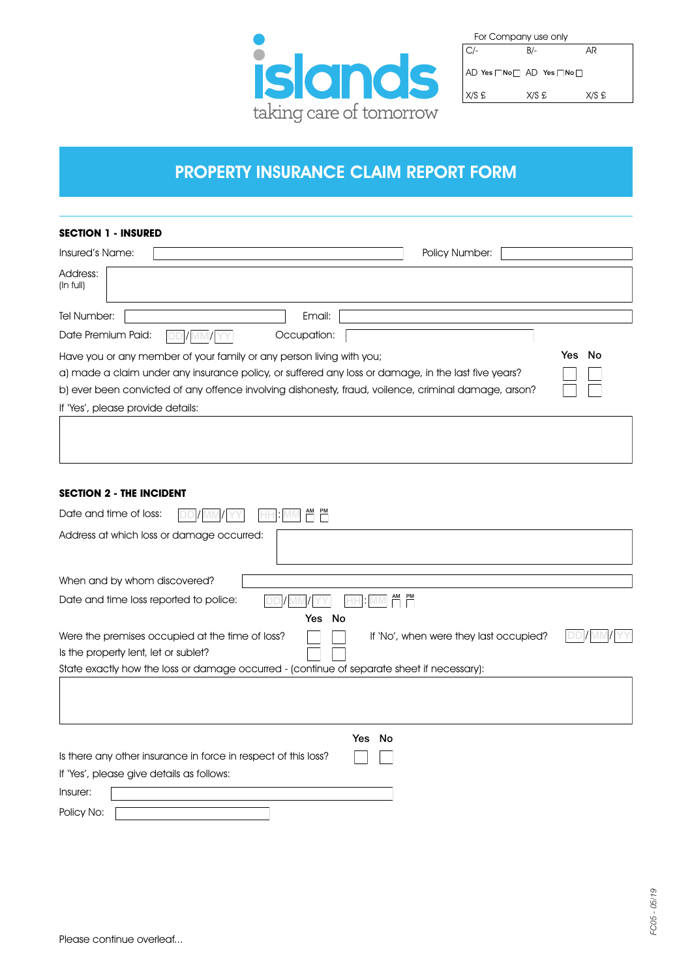

| For Company use only |       |       |  |  |
|----------------------|-------|-------|--|--|
| $C/-$                | B/-   | AR    |  |  |
| AD Yes Non AD Yes No |       |       |  |  |
| X/S E                | X/S £ | X/S £ |  |  |

# PROPERTY INSURANCE CLAIM REPORT FORM

### **SECTION 1 - INSURED**

| Insured's Name:                                                                                      | <b>Policy Number:</b> |                                                                                                      |        |  |  |  |
|------------------------------------------------------------------------------------------------------|-----------------------|------------------------------------------------------------------------------------------------------|--------|--|--|--|
| Address:<br>(ln full)                                                                                |                       |                                                                                                      |        |  |  |  |
| Tel Number:                                                                                          | Email:                |                                                                                                      |        |  |  |  |
| Date Premium Paid:                                                                                   | Occupation:           |                                                                                                      |        |  |  |  |
| Have you or any member of your family or any person living with you;                                 |                       |                                                                                                      | Yes No |  |  |  |
| (a) made a claim under any insurance policy, or suffered any loss or damage, in the last five years? |                       |                                                                                                      |        |  |  |  |
|                                                                                                      |                       | b) ever been convicted of any offence involving dishonesty, fraud, voilence, criminal damage, arson? |        |  |  |  |
| If 'Yes', please provide details:                                                                    |                       |                                                                                                      |        |  |  |  |
|                                                                                                      |                       |                                                                                                      |        |  |  |  |
|                                                                                                      |                       |                                                                                                      |        |  |  |  |

## **SECTION 2 - THE INCIDENT**

| Date and time of loss:                                                                     |
|--------------------------------------------------------------------------------------------|
| Address at which loss or damage occurred:                                                  |
| When and by whom discovered?                                                               |
| Date and time loss reported to police:                                                     |
| Yes No                                                                                     |
| Were the premises occupied at the time of loss?<br>If 'No', when were they last occupied?  |
| Is the property lent, let or sublet?                                                       |
| State exactly how the loss or damage occurred - (continue of separate sheet if necessary): |
|                                                                                            |
| Yes No                                                                                     |
| Is there any other insurance in force in respect of this loss?                             |
| If 'Yes', please give details as follows:                                                  |
| Insurer:                                                                                   |
| Policy No:                                                                                 |